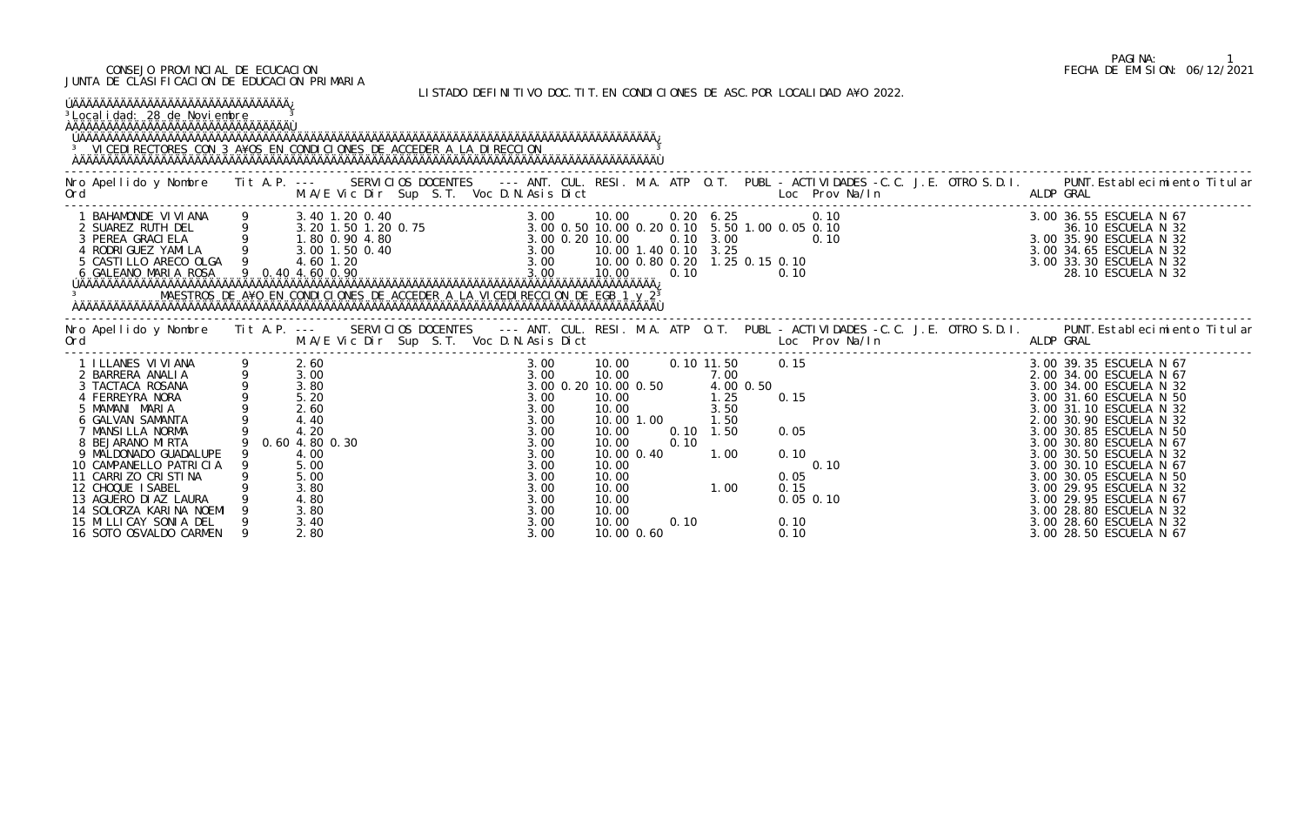### CONSEJO PROVINCIAL DE ECUCACION FECHA DE EMISION: 06/12/2021 JUNTA DE CLASIFICACION DE EDUCACION PRIMARIA

LISTADO DEFINITIVO DOC.TIT.EN CONDICIONES DE ASC.POR LOCALIDAD A¥O 2022.

| <sup>3</sup> Local i dad: 28 de Noviembre<br><sup>3</sup> VICEDI RECTORES CON 3 A¥OS EN CONDICIONES DE ACCEDER A LA DI RECCION                                                                                                                                                                                                                                                                              |                                                                                        |                                                                                                        |  |  |                                                                                                              |                                                                                                                                                               |              |                                                                       | LIJIADU DELINI II VU DUG. II I. LN GUNDI GIUNEJ DE AJG. FUN LUGALIDAD ATU ZUZZ.                                                   |  |           |                                                                                                                                                                                                                                                                                                                                                                                                                   |  |
|-------------------------------------------------------------------------------------------------------------------------------------------------------------------------------------------------------------------------------------------------------------------------------------------------------------------------------------------------------------------------------------------------------------|----------------------------------------------------------------------------------------|--------------------------------------------------------------------------------------------------------|--|--|--------------------------------------------------------------------------------------------------------------|---------------------------------------------------------------------------------------------------------------------------------------------------------------|--------------|-----------------------------------------------------------------------|-----------------------------------------------------------------------------------------------------------------------------------|--|-----------|-------------------------------------------------------------------------------------------------------------------------------------------------------------------------------------------------------------------------------------------------------------------------------------------------------------------------------------------------------------------------------------------------------------------|--|
| Nro Apellido y Nombre Tit A.P. --- SERVICIOS DOCENTES --- ANT. CUL. RESI. M.A. ATP O.T. PUBL - ACTIVIDADES -C.C. J.E. OTRO S.D.I. PUNT. Establecimiento Titular<br>Ord<br>e de la construcción de la construcción de la construcción de la construcción de la construcción de la construcción<br>En la construcción de la construcción de la construcción de la construcción de la construcción de la const |                                                                                        |                                                                                                        |  |  |                                                                                                              |                                                                                                                                                               |              |                                                                       | M.A/E Vic Dir Sup S.T. Voc D.N.Asis Dict Loc Prov Na/In                                                                           |  | ALDP GRAL |                                                                                                                                                                                                                                                                                                                                                                                                                   |  |
| MAESTROS DE A¥O EN CONDICIONES DE ACCEDER A LA VICEDIRECCION DE EGB 1 y 2 <sup>3</sup>                                                                                                                                                                                                                                                                                                                      |                                                                                        |                                                                                                        |  |  |                                                                                                              |                                                                                                                                                               |              |                                                                       |                                                                                                                                   |  |           |                                                                                                                                                                                                                                                                                                                                                                                                                   |  |
|                                                                                                                                                                                                                                                                                                                                                                                                             |                                                                                        |                                                                                                        |  |  |                                                                                                              |                                                                                                                                                               |              |                                                                       | M.A/E Vic Dir Sup S.T. Voc D.N.Asis Dict Loc Prov Na/In                                                                           |  |           |                                                                                                                                                                                                                                                                                                                                                                                                                   |  |
| 1 I LLANES VI VI ANA<br>2 BARRERA ANALIA<br>3 TACTACA ROSANA<br>4 FERREYRA NORA<br>5 MAMANI MARIA<br>6 GALVAN SAMANTA<br>7 MANSILLA NORMA<br>8 BEJARANO MIRTA<br>9 MALDONADO GUADALUPE<br>10 CAMPANELLO PATRICIA<br>11 CARRIZO CRISTINA<br>12 CHOQUE ISABEL<br>13 AGUERO DI AZ LAURA<br>14 SOLORZA KARINA NOEMI<br>15 MILLICAY SONIA DEL<br>16 SOTO OSVALDO CARMEN                                          | $\begin{array}{ccc} 9 & & 5.20 \\ 9 & & 2.60 \\ 9 & & 4.40 \end{array}$<br>$\mathsf Q$ | 2.60<br>3.00<br>3.80<br>4.20<br>0.60 4.80 0.30<br>4.00<br>5.00<br>5.00<br>3.80<br>4.80<br>3.80<br>3.40 |  |  | 3.00<br>3.00<br>3.00<br>3.00<br>3.00<br>3.00<br>3.00<br>3.00<br>3.00<br>3.00<br>3.00<br>3.00<br>3.00<br>3.00 | 10.00<br>3.00 0.20 10.00 0.50 4.00 0.50<br>10.00<br>10.00<br>10.00 1.00<br>10.00<br>10.00<br>10.00 0.40<br>10.00<br>10.00<br>10.00<br>10.00<br>10.00<br>10.00 | 0.10<br>0.10 | 7.00<br>$\frac{1}{25}$<br>3.50<br>1.50<br>$0.10$ 1.50<br>1.00<br>1.00 | 10.00   0.10   11.50   0.15<br>0. 15<br>$.50$<br>0. 15<br>0. 05<br>0. 10<br>0.10<br>0.10<br>0.05<br>0.15<br>$0.05$ $0.10$<br>0.10 |  |           | 3.00 39.35 ESCUELA N 67<br>2.00 34.00 ESCUELA N 67<br>3.00 34.00 ESCUELA N 32<br>3.00 31.60 ESCUELA N 50<br>3.00 31.10 ESCUELA N 32<br>2.00 30.90 ESCUELA N 32<br>3.00 30.85 ESCUELA N 50<br>3.00 30.80 ESCUELA N 67<br>3.00 30.50 ESCUELA N 32<br>3.00 30.10 ESCUELA N 67<br>3.00 30.05 ESCUELA N 50<br>3.00 29.95 ESCUELA N 32<br>3.00 29.95 ESCUELA N 67<br>3.00 28.80 ESCUELA N 32<br>3.00 28.60 ESCUELA N 32 |  |

# PAGINA: 1<br>FECHA DE EMISION: 06/12/2021